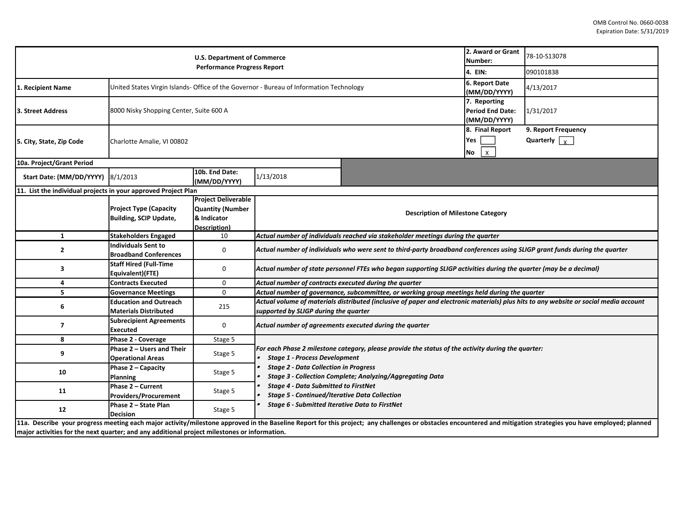| <b>U.S. Department of Commerce</b><br><b>Performance Progress Report</b>                     |                                                                                         |                                                                                      |                                                                                                                                                                                                                                                                |                                              |                                             | 78-10-S13078                                                                                                                                                                                                     |  |  |  |
|----------------------------------------------------------------------------------------------|-----------------------------------------------------------------------------------------|--------------------------------------------------------------------------------------|----------------------------------------------------------------------------------------------------------------------------------------------------------------------------------------------------------------------------------------------------------------|----------------------------------------------|---------------------------------------------|------------------------------------------------------------------------------------------------------------------------------------------------------------------------------------------------------------------|--|--|--|
|                                                                                              |                                                                                         |                                                                                      |                                                                                                                                                                                                                                                                |                                              |                                             | 090101838                                                                                                                                                                                                        |  |  |  |
| 1. Recipient Name                                                                            | United States Virgin Islands- Office of the Governor - Bureau of Information Technology |                                                                                      | 6. Report Date<br>(MM/DD/YYYY)                                                                                                                                                                                                                                 | 4/13/2017                                    |                                             |                                                                                                                                                                                                                  |  |  |  |
| 3. Street Address                                                                            | 8000 Nisky Shopping Center, Suite 600 A                                                 |                                                                                      | 7. Reporting<br><b>Period End Date:</b><br>(MM/DD/YYYY)                                                                                                                                                                                                        | 1/31/2017                                    |                                             |                                                                                                                                                                                                                  |  |  |  |
| 5. City, State, Zip Code                                                                     | Charlotte Amalie, VI 00802                                                              |                                                                                      |                                                                                                                                                                                                                                                                | 8. Final Report<br>Yes<br>No<br>$\mathsf{x}$ | 9. Report Frequency<br>Quarterly $\sqrt{x}$ |                                                                                                                                                                                                                  |  |  |  |
| 10a. Project/Grant Period                                                                    |                                                                                         |                                                                                      |                                                                                                                                                                                                                                                                |                                              |                                             |                                                                                                                                                                                                                  |  |  |  |
| Start Date: (MM/DD/YYYY) 8/1/2013                                                            |                                                                                         | 10b. End Date:<br>(MM/DD/YYYY)                                                       | 1/13/2018                                                                                                                                                                                                                                                      |                                              |                                             |                                                                                                                                                                                                                  |  |  |  |
| 11. List the individual projects in your approved Project Plan                               |                                                                                         |                                                                                      |                                                                                                                                                                                                                                                                |                                              |                                             |                                                                                                                                                                                                                  |  |  |  |
|                                                                                              | <b>Project Type (Capacity</b><br><b>Building, SCIP Update,</b>                          | <b>Project Deliverable</b><br><b>Quantity (Number</b><br>& Indicator<br>Description) | <b>Description of Milestone Category</b>                                                                                                                                                                                                                       |                                              |                                             |                                                                                                                                                                                                                  |  |  |  |
| 1                                                                                            | <b>Stakeholders Engaged</b>                                                             | 10                                                                                   | Actual number of individuals reached via stakeholder meetings during the quarter                                                                                                                                                                               |                                              |                                             |                                                                                                                                                                                                                  |  |  |  |
| $\mathbf{2}$                                                                                 | <b>Individuals Sent to</b><br><b>Broadband Conferences</b>                              | 0                                                                                    | Actual number of individuals who were sent to third-party broadband conferences using SLIGP grant funds during the quarter                                                                                                                                     |                                              |                                             |                                                                                                                                                                                                                  |  |  |  |
| 3                                                                                            | <b>Staff Hired (Full-Time</b><br>Equivalent)(FTE)                                       | 0                                                                                    | Actual number of state personnel FTEs who began supporting SLIGP activities during the quarter (may be a decimal)                                                                                                                                              |                                              |                                             |                                                                                                                                                                                                                  |  |  |  |
| 4                                                                                            | <b>Contracts Executed</b>                                                               | 0                                                                                    | Actual number of contracts executed during the quarter                                                                                                                                                                                                         |                                              |                                             |                                                                                                                                                                                                                  |  |  |  |
| 5                                                                                            | <b>Governance Meetings</b>                                                              | $\mathsf{O}$                                                                         | Actual number of governance, subcommittee, or working group meetings held during the quarter                                                                                                                                                                   |                                              |                                             |                                                                                                                                                                                                                  |  |  |  |
| 6                                                                                            | <b>Education and Outreach</b><br><b>Materials Distributed</b>                           | 215                                                                                  | Actual volume of materials distributed (inclusive of paper and electronic materials) plus hits to any website or social media account<br>supported by SLIGP during the quarter                                                                                 |                                              |                                             |                                                                                                                                                                                                                  |  |  |  |
| $\overline{7}$                                                                               | <b>Subrecipient Agreements</b><br><b>Executed</b>                                       | 0                                                                                    | Actual number of agreements executed during the quarter                                                                                                                                                                                                        |                                              |                                             |                                                                                                                                                                                                                  |  |  |  |
| 8                                                                                            | Phase 2 - Coverage                                                                      | Stage 5                                                                              |                                                                                                                                                                                                                                                                |                                              |                                             |                                                                                                                                                                                                                  |  |  |  |
| 9                                                                                            | Phase 2 - Users and Their<br><b>Operational Areas</b>                                   | Stage 5                                                                              | For each Phase 2 milestone category, please provide the status of the activity during the quarter:<br><b>Stage 1 - Process Development</b><br><b>Stage 2 - Data Collection in Progress</b><br><b>Stage 3 - Collection Complete; Analyzing/Aggregating Data</b> |                                              |                                             |                                                                                                                                                                                                                  |  |  |  |
| 10                                                                                           | Phase 2 - Capacity<br><b>Planning</b>                                                   | Stage 5                                                                              |                                                                                                                                                                                                                                                                |                                              |                                             |                                                                                                                                                                                                                  |  |  |  |
| 11                                                                                           | Phase 2 - Current<br><b>Providers/Procurement</b>                                       | Stage 5                                                                              | <b>Stage 4 - Data Submitted to FirstNet</b><br><b>Stage 5 - Continued/Iterative Data Collection</b><br><b>Stage 6 - Submitted Iterative Data to FirstNet</b>                                                                                                   |                                              |                                             |                                                                                                                                                                                                                  |  |  |  |
| 12                                                                                           | Phase 2 - State Plan<br><b>Decision</b>                                                 | Stage 5                                                                              |                                                                                                                                                                                                                                                                |                                              |                                             |                                                                                                                                                                                                                  |  |  |  |
| major activities for the next quarter; and any additional project milestones or information. |                                                                                         |                                                                                      |                                                                                                                                                                                                                                                                |                                              |                                             | 11a. Describe your progress meeting each major activity/milestone approved in the Baseline Report for this project; any challenges or obstacles encountered and mitigation strategies you have employed; planned |  |  |  |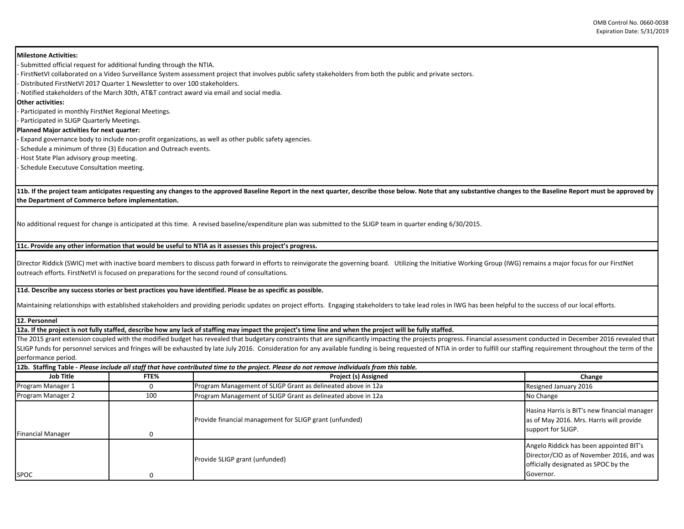OMB Control No. 0660‐0038Expiration Date: 5/31/2019

**Milestone Activities:** 

‐ Submitted official request for additional funding through the NTIA. ‐ FirstNetVI collaborated on a Video Surveillance System assessment project that involves public safety stakeholders from both the public and private sectors. ‐ Distributed FirstNetVI 2017 Quarter 1 Newsletter to over 100 stakeholders. ‐ Notified stakeholders of the March 30th, AT&T contract award via email and social media. **Other activities:** 

‐ Participated in monthly FirstNet Regional Meetings.

‐ Participated in SLIGP Quarterly Meetings.

**Planned Major activities for next quarter:** 

**‐** Expand governance body to include non‐profit organizations, as well as other public safety agencies.

Schedule a minimum of three (3) Education and Outreach events.

‐ Host State Plan advisory group meeting.

‐ Schedule Executuve Consultation meeting.

**11b. If the project team anticipates requesting any changes to the approved Baseline Report in the next quarter, describe those below. Note that any substantive changes to the Baseline Report must be approved by the Department of Commerce before implementation.** 

No additional request for change is anticipated at this time. A revised baseline/expenditure plan was submitted to the SLIGP team in quarter ending 6/30/2015.

## **11c. Provide any other information that would be useful to NTIA as it assesses this project's progress.**

Director Riddick (SWIC) met with inactive board members to discuss path forward in efforts to reinvigorate the governing board. Utilizing the Initiative Working Group (IWG) remains a major focus for our FirstNet outreach efforts. FirstNetVI is focused on preparations for the second round of consultations.

**11d. Describe any success stories or best practices you have identified. Please be as specific as possible.**

Maintaining relationships with established stakeholders and providing periodic updates on project efforts. Engaging stakeholders to take lead roles in IWG has been helpful to the success of our local efforts.

**12. Personnel** 

**12a. If the project is not fully staffed, describe how any lack of staffing may impact the project's time line and when the project will be fully staffed.**

The 2015 grant extension coupled with the modified budget has revealed that budgetary constraints that are significantly impacting the projects progress. Financial assessment conducted in December 2016 revealed that SLIGP funds for personnel services and fringes will be exhausted by late July 2016. Consideration for any available funding is being requested of NTIA in order to fulfill our staffing requirement throughout the term of the performance period.

|                          |      | 12b. Staffing Table - Please include all staff that have contributed time to the project. Please do not remove individuals from this table. |                                                                                                                                           |
|--------------------------|------|---------------------------------------------------------------------------------------------------------------------------------------------|-------------------------------------------------------------------------------------------------------------------------------------------|
| Job Title                | FTE% | Project (s) Assigned                                                                                                                        | Change                                                                                                                                    |
| Program Manager 1        |      | Program Management of SLIGP Grant as delineated above in 12a                                                                                | Resigned January 2016                                                                                                                     |
| Program Manager 2<br>100 |      | Program Management of SLIGP Grant as delineated above in 12a                                                                                | No Change                                                                                                                                 |
| <b>Financial Manager</b> |      | Provide financial management for SLIGP grant (unfunded)                                                                                     | Hasina Harris is BIT's new financial manager<br>as of May 2016. Mrs. Harris will provide<br>support for SLIGP.                            |
| <b>SPOC</b>              |      | Provide SLIGP grant (unfunded)                                                                                                              | Angelo Riddick has been appointed BIT's<br>Director/CIO as of November 2016, and was<br>officially designated as SPOC by the<br>Governor. |